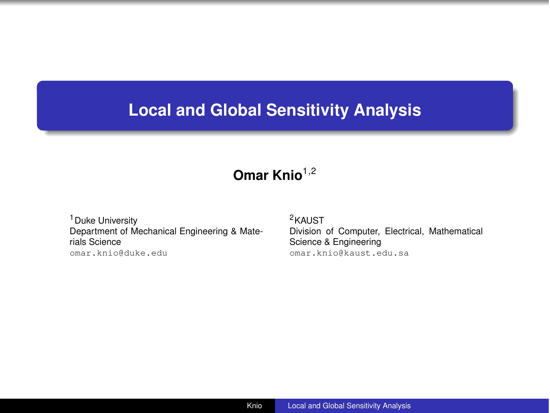# <span id="page-0-0"></span>**Local and Global Sensitivity Analysis**

## **Omar Knio**<sup>1</sup>*,*<sup>2</sup>

<sup>1</sup> Duke University Department of Mechanical Engineering & Materials Science <omar.knio@duke.edu>

<sup>2</sup>KAUST Division of Computer, Electrical, Mathematical Science & Engineering <omar.knio@kaust.edu.sa>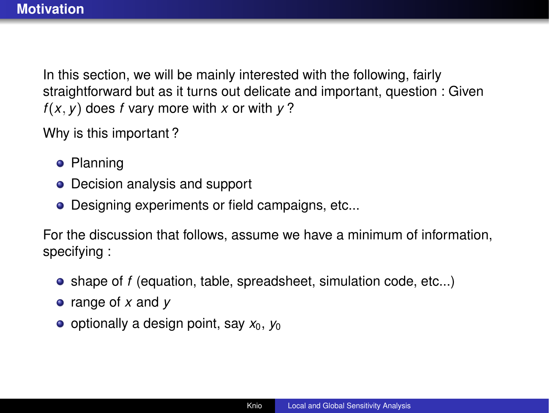In this section, we will be mainly interested with the following, fairly straightforward but as it turns out delicate and important, question : Given  $f(x, y)$  does *f* vary more with *x* or with  $y$ ?

Why is this important ?

- **•** Planning
- Decision analysis and support
- **•** Designing experiments or field campaigns, etc...

For the discussion that follows, assume we have a minimum of information, specifying :

- shape of *f* (equation, table, spreadsheet, simulation code, etc...)
- range of *x* and *y*
- o optionally a design point, say  $x_0$ ,  $y_0$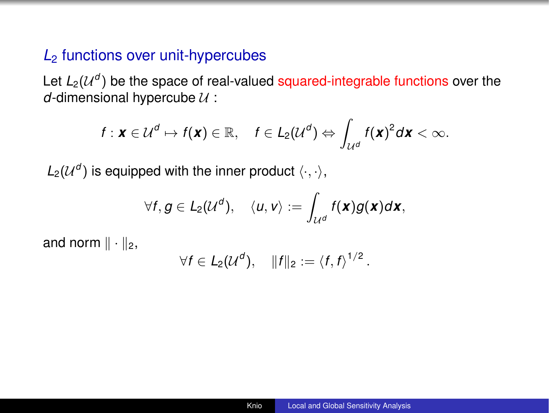## *L*<sup>2</sup> functions over unit-hypercubes

Let  $L_2(\mathcal{U}^d)$  be the space of real-valued squared-integrable functions over the *d*-dimensional hypercube *U* :

$$
f: \mathbf{x} \in \mathcal{U}^d \mapsto f(\mathbf{x}) \in \mathbb{R}, \quad f \in L_2(\mathcal{U}^d) \Leftrightarrow \int_{\mathcal{U}^d} f(\mathbf{x})^2 d\mathbf{x} < \infty.
$$

 $L_2(\mathcal{U}^d)$  is equipped with the inner product  $\langle \cdot, \cdot \rangle$ ,

$$
\forall f, g \in L_2(\mathcal{U}^d), \quad \langle u, v \rangle := \int_{\mathcal{U}^d} f(\mathbf{x}) g(\mathbf{x}) d\mathbf{x},
$$

and norm  $\|\cdot\|_2$ ,

$$
\forall f \in L_2(\mathcal{U}^d), \quad ||f||_2 := \langle f, f \rangle^{1/2}.
$$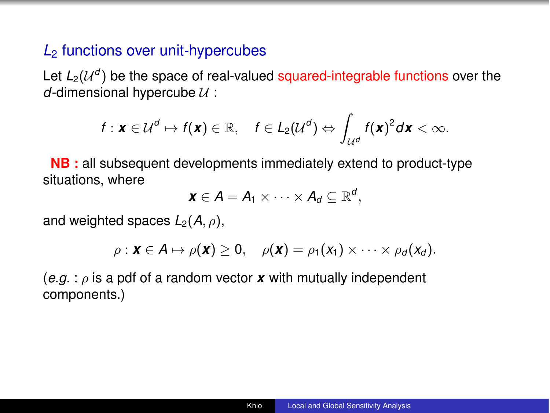## *L*<sup>2</sup> functions over unit-hypercubes

Let  $L_2(\mathcal{U}^d)$  be the space of real-valued squared-integrable functions over the *d*-dimensional hypercube *U* :

$$
f: \mathbf{x} \in \mathcal{U}^d \mapsto f(\mathbf{x}) \in \mathbb{R}, \quad f \in L_2(\mathcal{U}^d) \Leftrightarrow \int_{\mathcal{U}^d} f(\mathbf{x})^2 d\mathbf{x} < \infty.
$$

**NB :** all subsequent developments immediately extend to product-type situations, where

$$
\mathbf{x} \in A = A_1 \times \cdots \times A_d \subseteq \mathbb{R}^d,
$$

and weighted spaces  $L_2(A, \rho)$ ,

$$
\rho: \mathbf{x} \in \mathbf{A} \mapsto \rho(\mathbf{x}) \geq 0, \quad \rho(\mathbf{x}) = \rho_1(x_1) \times \cdots \times \rho_d(x_d).
$$

 $(e.q.: \rho$  is a pdf of a random vector x with mutually independent components.)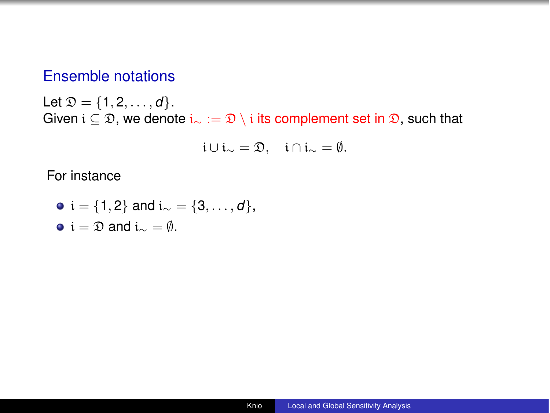## Ensemble notations

Let  $\mathfrak{D} = \{1, 2, ..., d\}.$ Given  $i \subseteq \mathfrak{D}$ , we denote  $i_{\infty} := \mathfrak{D} \setminus i$  its complement set in  $\mathfrak{D}$ , such that

$$
i\cup i_{\sim}=\mathfrak{D},\quad i\cap i_{\sim}=\emptyset.
$$

For instance

\n- $$
\bullet
$$
 i = {1,2} and i<sub>∞</sub> = {3, ..., d},
\n- $\bullet$  i =  $\mathfrak{D}$  and i<sub>∞</sub> =  $\emptyset$ .
\n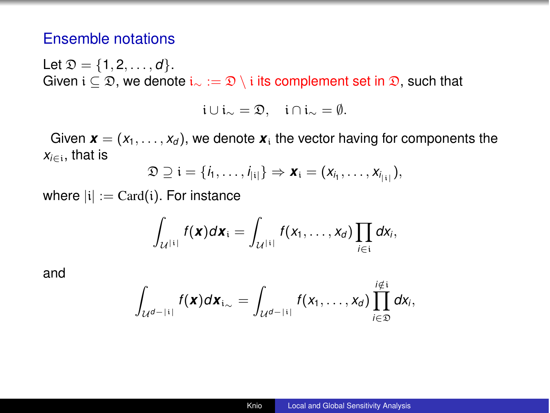## Ensemble notations

Let  $\mathcal{D} = \{1, 2, ..., d\}$ . Given  $i \subseteq \mathfrak{D}$ , we denote  $i_{\sim} := \mathfrak{D} \setminus i$  its complement set in  $\mathfrak{D}$ , such that

$$
\mathfrak{i}\cup\mathfrak{i}_{\sim}=\mathfrak{D},\quad\mathfrak{i}\cap\mathfrak{i}_{\sim}=\emptyset.
$$

Given  $\mathbf{x} = (x_1, \ldots, x_d)$ , we denote  $\mathbf{x}_i$  the vector having for components the  $x_{i \in i}$ , that is

$$
\mathfrak{D} \supseteq \mathfrak{i} = \{i_1, \ldots, i_{|i|}\} \Rightarrow \mathbf{x}_i = (x_{i_1}, \ldots, x_{i_{|i|}}),
$$

where  $|i| := \text{Card}(i)$ . For instance

$$
\int_{\mathcal{U}^{[i]}} f(\mathbf{x}) d\mathbf{x}_i = \int_{\mathcal{U}^{[i]}} f(x_1,\ldots,x_d) \prod_{i \in i} dx_i,
$$

and

$$
\int_{\mathcal{U}^{d-|i|}} f(\mathbf{x}) d\mathbf{x}_{i_{\infty}} = \int_{\mathcal{U}^{d-|i|}} f(x_1,\ldots,x_d) \prod_{i\in\mathfrak{D}}^{i \notin i} dx_i,
$$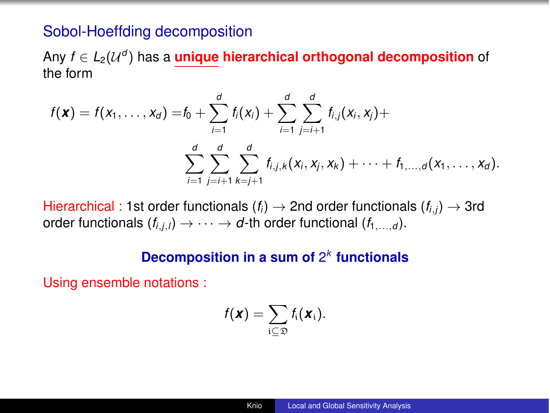#### Sobol-Hoeffding decomposition

Any  $f \in L_2(\mathcal{U}^d)$  has a **unique hierarchical orthogonal decomposition** of the form

$$
f(\mathbf{x}) = f(x_1, ..., x_d) = f_0 + \sum_{i=1}^d f_i(x_i) + \sum_{i=1}^d \sum_{j=i+1}^d f_{i,j}(x_i, x_j) + \sum_{i=1}^d \sum_{j=i+1}^d \sum_{k=j+1}^d f_{i,j,k}(x_i, x_j, x_k) + \cdots + f_{1,...,d}(x_1, ..., x_d).
$$

Hierarchical : 1st order functionals  $(f_i) \rightarrow 2$ nd order functionals  $(f_{i,j}) \rightarrow 3$ rd order functionals  $(f_{i,j,l}) \rightarrow \cdots \rightarrow d$ -th order functional  $(f_{1},...,g)$ .

#### **Decomposition in a sum of** 2*<sup>k</sup>* **functionals**

Using ensemble notations :

$$
f(\mathbf{x}) = \sum_{i \subseteq \mathfrak{D}} f_i(\mathbf{x}_i).
$$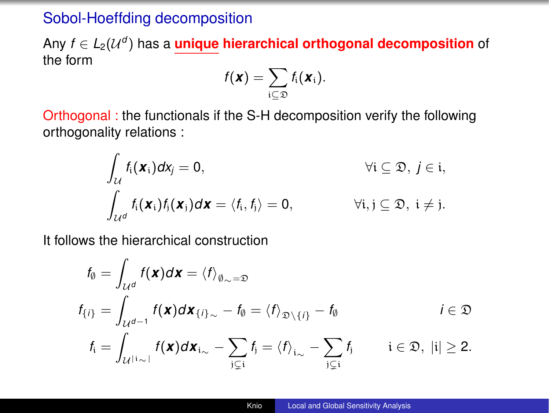## Sobol-Hoeffding decomposition

Any  $f \in L_2(\mathcal{U}^d)$  has a *unique hierarchical orthogonal decomposition* of the form

$$
f(\mathbf{x}) = \sum_{i \subseteq \mathfrak{D}} f_i(\mathbf{x}_i).
$$

Orthogonal : the functionals if the S-H decomposition verify the following orthogonality relations :

$$
\int_{\mathcal{U}} f_i(\mathbf{x}_i) d\mathbf{x}_j = 0, \qquad \forall i \subseteq \mathfrak{D}, j \in i, \n\int_{\mathcal{U}^d} f_i(\mathbf{x}_i) f_j(\mathbf{x}_j) d\mathbf{x} = \langle f_i, f_j \rangle = 0, \qquad \forall i, j \subseteq \mathfrak{D}, i \neq j.
$$

It follows the hierarchical construction

$$
f_{\emptyset} = \int_{\mathcal{U}^{d}} f(\mathbf{x}) d\mathbf{x} = \langle f \rangle_{\emptyset_{\sim} = \mathfrak{D}}
$$
  
\n
$$
f_{\{i\}} = \int_{\mathcal{U}^{d-1}} f(\mathbf{x}) d\mathbf{x}_{\{i\}_{\sim} - f_{\emptyset} = \langle f \rangle_{\mathfrak{D} \setminus \{i\}} - f_{\emptyset} \qquad i \in \mathfrak{D}
$$
  
\n
$$
f_{i} = \int_{\mathcal{U}^{\{i\}_{\sim} \}} f(\mathbf{x}) d\mathbf{x}_{i_{\sim}} - \sum_{j \subsetneq i} f_{j} = \langle f \rangle_{i_{\sim}} - \sum_{j \subsetneq i} f_{j} \qquad i \in \mathfrak{D}, \ |i| \geq 2.
$$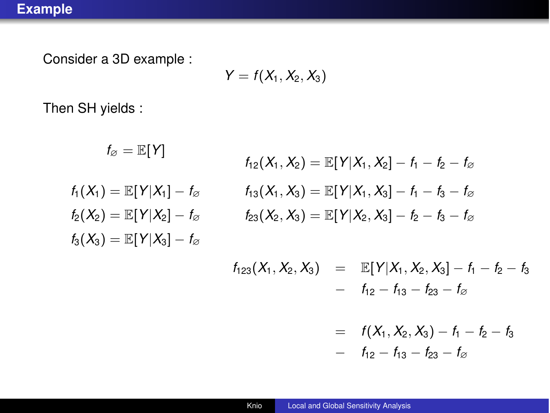Consider a 3D example :

$$
Y=f(X_1,X_2,X_3)
$$

Then SH yields :

$$
f_{\varnothing} = \mathbb{E}[Y]
$$
\n
$$
f_{12}(X_1, X_2) = \mathbb{E}[
$$
\n
$$
f_1(X_1) = \mathbb{E}[Y|X_1] - f_{\varnothing}
$$
\n
$$
f_2(X_2) = \mathbb{E}[Y|X_2] - f_{\varnothing}
$$
\n
$$
f_1(X_1, X_3) = \mathbb{E}[
$$
\n
$$
f_2(X_2, X_3) = \mathbb{E}[
$$
\n
$$
f_3(X_3) = \mathbb{E}[Y|X_3] - f_{\varnothing}
$$
\n
$$
f_1(X_3 \times X_1) = \mathbb{E}[
$$
\n
$$
f_2(X_2 \times X_2) = \mathbb{E}[
$$

$$
f_{12}(X_1, X_2) = \mathbb{E}[Y|X_1, X_2] - f_1 - f_2 - f_{\varnothing}
$$
  

$$
f_{13}(X_1, X_3) = \mathbb{E}[Y|X_1, X_3] - f_1 - f_3 - f_{\varnothing}
$$
  

$$
f_{23}(X_2, X_3) = \mathbb{E}[Y|X_2, X_3] - f_2 - f_3 - f_{\varnothing}
$$

$$
f_{123}(X_1, X_2, X_3) = \mathbb{E}[Y|X_1, X_2, X_3] - f_1 - f_2 - f_3
$$
  
-  $f_{12} - f_{13} - f_{23} - f_{\emptyset}$ 

$$
= f(X_1, X_2, X_3) - f_1 - f_2 - f_3
$$
  
- f<sub>12</sub> - f<sub>13</sub> - f<sub>23</sub> - f<sub>0</sub>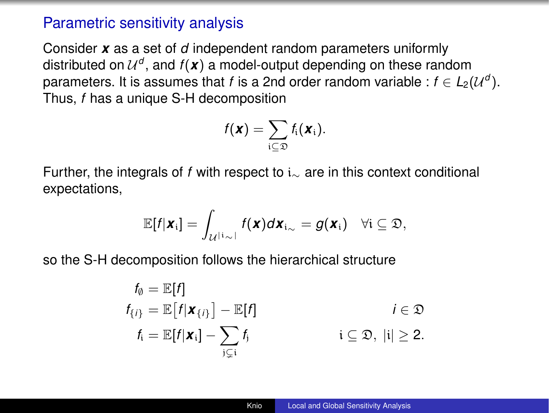### Parametric sensitivity analysis

Consider *x* as a set of *d* independent random parameters uniformly distributed on  $\mathcal{U}^d$ , and  $f(\mathbf{x})$  a model-output depending on these random parameters. It is assumes that *f* is a 2nd order random variable :  $f \in L_2(\mathcal{U}^d)$ . Thus, *f* has a unique S-H decomposition

$$
f(\mathbf{x}) = \sum_{i \subseteq \mathfrak{D}} f_i(\mathbf{x}_i).
$$

Further, the integrals of f with respect to  $i_{\sim}$  are in this context conditional expectations,

$$
\mathbb{E}[f|\boldsymbol{x}_i] = \int_{\mathcal{U}^{\vert i\sim\vert}} f(\boldsymbol{x}) d\boldsymbol{x}_{i\sim} = g(\boldsymbol{x}_i) \quad \forall i \subseteq \mathfrak{D},
$$

so the S-H decomposition follows the hierarchical structure

$$
f_{\emptyset} = \mathbb{E}[f]
$$
  
\n
$$
f_{\{i\}} = \mathbb{E}[f|\mathbf{x}_{\{i\}}] - \mathbb{E}[f]
$$
  
\n
$$
f_i = \mathbb{E}[f|\mathbf{x}_i] - \sum_{j \subseteq i} f_j
$$
  
\n
$$
i \subseteq \mathfrak{D}, |i| \ge 2.
$$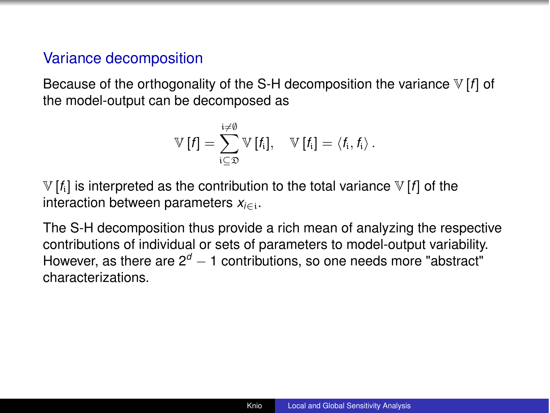### Variance decomposition

Because of the orthogonality of the S-H decomposition the variance V [*f*] of the model-output can be decomposed as

$$
\mathbb{V}\left[f\right] = \sum_{i\subseteq\mathfrak{D}}^{i\neq\emptyset} \mathbb{V}\left[f_i\right], \quad \mathbb{V}\left[f_i\right] = \langle f_i, f_i \rangle.
$$

 $V[f_i]$  is interpreted as the contribution to the total variance  $V[f]$  of the interaction between parameters  $x_{i \in \mathbb{N}}$ .

The S-H decomposition thus provide a rich mean of analyzing the respective contributions of individual or sets of parameters to model-output variability. However, as there are  $2^d - 1$  contributions, so one needs more "abstract" characterizations.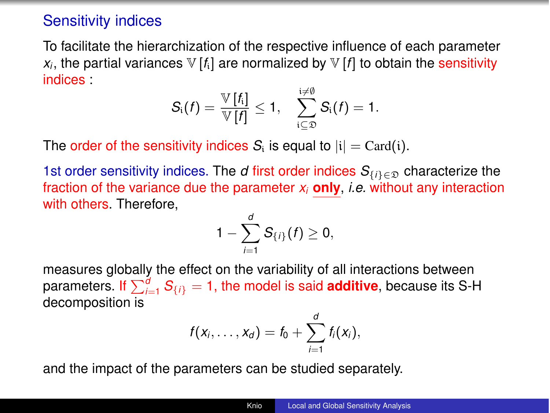### Sensitivity indices

To facilitate the hierarchization of the respective influence of each parameter  $x_i$ , the partial variances  $\nabla f_i$ ] are normalized by  $\nabla f_i$  to obtain the sensitivity indices :

$$
S_i(f) = \frac{\mathbb{V}[f_i]}{\mathbb{V}[f]} \leq 1, \quad \sum_{i \subseteq \mathfrak{D}}^{\frac{i \neq 0}{\mathfrak{D}}} S_i(f) = 1.
$$

The order of the sensitivity indices  $S_i$  is equal to  $|i| = \text{Card}(i)$ .

1st order sensitivity indices. The *d* first order indices  $S_{\{i\}\in\mathcal{D}}$  characterize the fraction of the variance due the parameter *xi* **only**, *i.e.* without any interaction with others. Therefore,

$$
1-\sum_{i=1}^d S_{\{i\}}(f)\geq 0,
$$

measures globally the effect on the variability of all interactions between parameters. If  $\sum_{i=1}^{d} S_{\{i\}} = 1$ , the model is said **additive**, because its S-H decomposition is

$$
f(x_i,\ldots,x_d)=f_0+\sum_{i=1}^d f_i(x_i),
$$

and the impact of the parameters can be studied separately.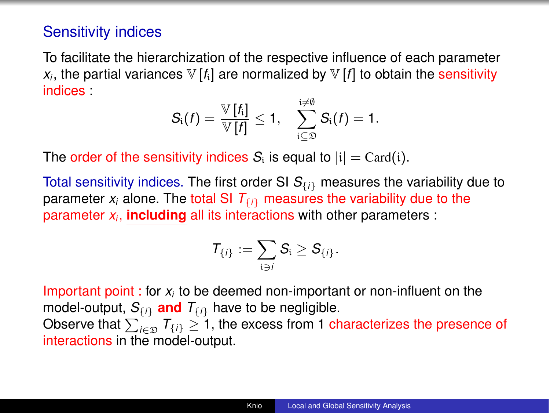## Sensitivity indices

To facilitate the hierarchization of the respective influence of each parameter  $x_i$ , the partial variances  $\nabla f_i$  are normalized by  $\nabla f_i$  to obtain the sensitivity indices :

$$
S_i(f) = \frac{\mathbb{V}[f_i]}{\mathbb{V}[f]} \leq 1, \quad \sum_{i \subseteq \mathfrak{D}}^{i \neq \emptyset} S_i(f) = 1.
$$

The order of the sensitivity indices  $S_i$  is equal to  $|i| = \text{Card}(i)$ .

Total sensitivity indices. The first order SI *S{i}* measures the variability due to parameter  $x_i$  alone. The total SI  $T_{\{i\}}$  measures the variability due to the parameter *xi*, **including** all its interactions with other parameters :

$$
\mathcal{T}_{\{i\}}:=\sum_{i\ni\ell}\mathcal{S}_i\geq \mathcal{S}_{\{i\}}.
$$

Important point : for *xi* to be deemed non-important or non-influent on the model-output,  $S_{\{i\}}$  and  $T_{\{i\}}$  have to be negligible. Observe that  $\sum_{i \in \mathfrak{D}} T_{\{i\}} \geq 1$ , the excess from 1 characterizes the presence of interactions in the model-output.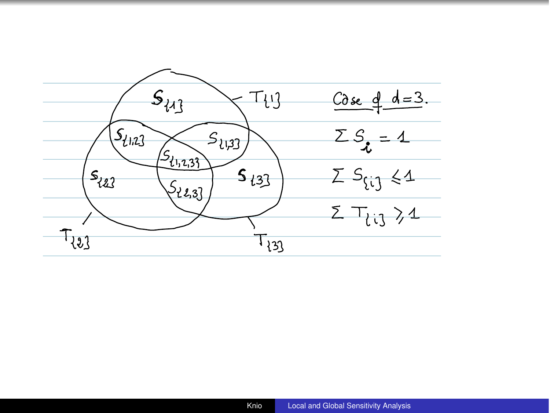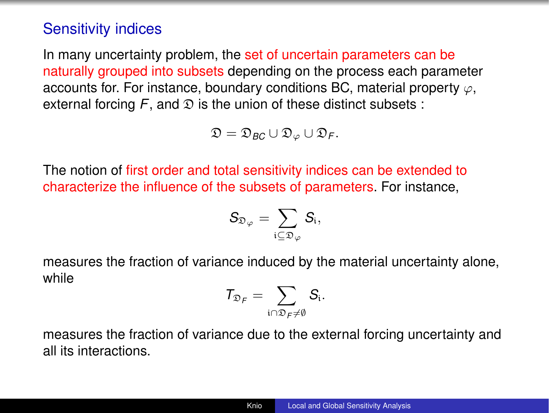## Sensitivity indices

In many uncertainty problem, the set of uncertain parameters can be naturally grouped into subsets depending on the process each parameter accounts for. For instance, boundary conditions BC, material property  $\varphi$ , external forcing  $F$ , and  $\mathfrak D$  is the union of these distinct subsets :

$$
\mathfrak{D}=\mathfrak{D}_{BC}\cup\mathfrak{D}_{\varphi}\cup\mathfrak{D}_{F}.
$$

The notion of first order and total sensitivity indices can be extended to characterize the influence of the subsets of parameters. For instance,

$$
\mathcal{S}_{\mathfrak{D}_{\varphi}} = \sum_{\mathfrak{i} \subseteq \mathfrak{D}_{\varphi}} \mathcal{S}_{\mathfrak{i}},
$$

measures the fraction of variance induced by the material uncertainty alone, while

$$
\mathcal{T}_{\mathfrak{D}_\mathcal{F}} = \sum_{i \cap \mathfrak{D}_\mathcal{F} \neq \emptyset} \mathcal{S}_i.
$$

measures the fraction of variance due to the external forcing uncertainty and all its interactions.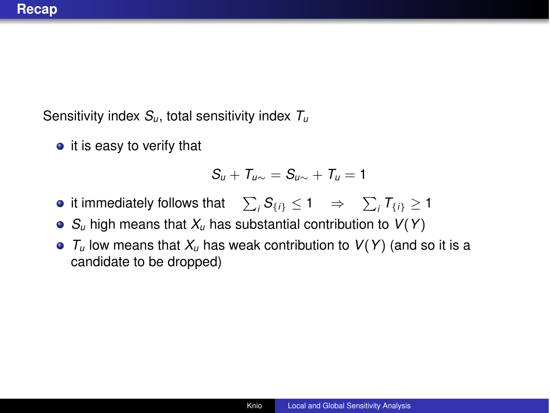Sensitivity index *Su*, total sensitivity index *Tu*

 $\bullet$  it is easy to verify that

$$
S_u + T_{u\sim} = S_{u\sim} + T_u = 1
$$

- it immediately follows that  $\sum_i \mathcal{S}_{\{i\}} \leq 1 \Rightarrow \sum_i \mathcal{T}_{\{i\}} \geq 1$
- *Su* high means that *Xu* has substantial contribution to *V*(*Y*)
- *Tu* low means that *Xu* has weak contribution to *V*(*Y*) (and so it is a candidate to be dropped)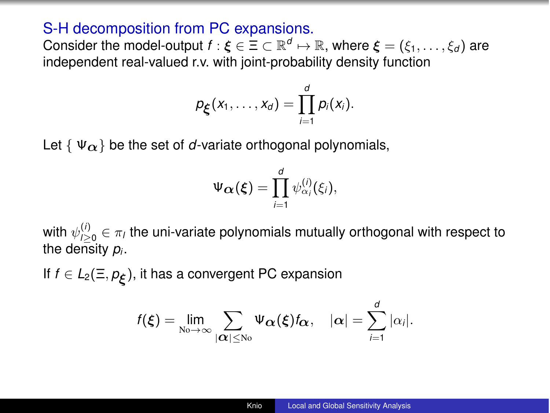### S-H decomposition from PC expansions.

Consider the model-output  $f : \xi \in \Xi \subset \mathbb{R}^d \mapsto \mathbb{R}$ , where  $\xi = (\xi_1, \dots, \xi_d)$  are independent real-valued r.v. with joint-probability density function

$$
p_{\xi}(x_1,\ldots,x_d)=\prod_{i=1}^d p_i(x_i).
$$

Let  $\{\Psi_{\alpha}\}\$ be the set of *d*-variate orthogonal polynomials,

$$
\Psi_{\boldsymbol{\alpha}}(\boldsymbol{\xi}) = \prod_{i=1}^d \psi_{\alpha_i}^{(i)}(\xi_i),
$$

with  $\psi_{l,20}^{(i)} \in \pi_l$  the uni-variate polynomials mutually orthogonal with respect to the density *pi*.

If  $f \in L_2(\Xi, p_{\mathcal{E}})$ , it has a convergent PC expansion

$$
f(\xi)=\lim_{\mathrm{N}\infty\to\infty}\sum_{|\boldsymbol{\alpha}|\leq\mathrm{N}\infty}\Psi_{\boldsymbol{\alpha}}(\xi)f_{\boldsymbol{\alpha}},\quad |\boldsymbol{\alpha}|=\sum_{i=1}^d|\alpha_i|.
$$